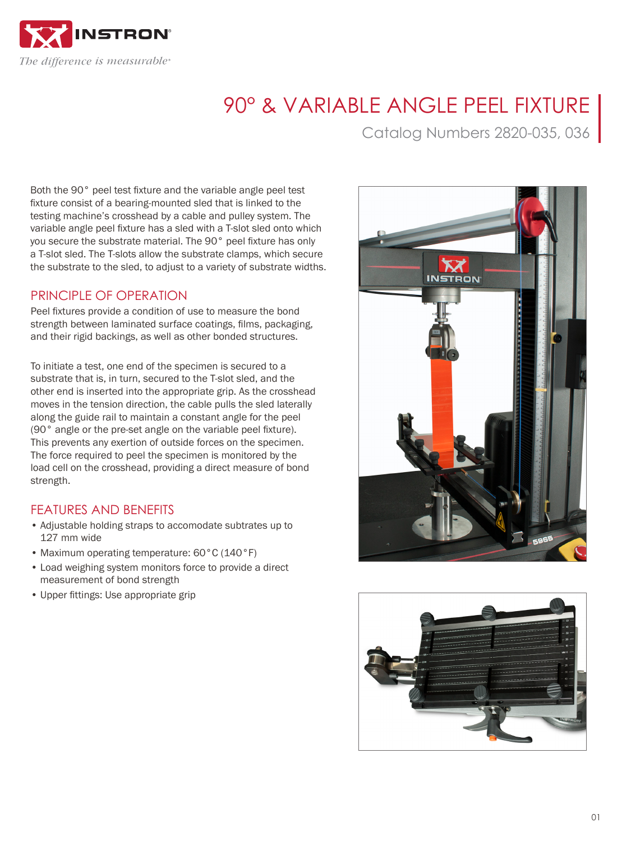

## 90° & VARIABLE ANGLE PEEL FIXTURE

Catalog Numbers 2820-035, 036

Both the 90° peel test fixture and the variable angle peel test fixture consist of a bearing-mounted sled that is linked to the testing machine's crosshead by a cable and pulley system. The variable angle peel fixture has a sled with a T-slot sled onto which you secure the substrate material. The 90° peel fixture has only a T-slot sled. The T-slots allow the substrate clamps, which secure the substrate to the sled, to adjust to a variety of substrate widths.

## PRINCIPI F OF OPERATION

Peel fixtures provide a condition of use to measure the bond strength between laminated surface coatings, films, packaging, and their rigid backings, as well as other bonded structures.

To initiate a test, one end of the specimen is secured to a substrate that is, in turn, secured to the T-slot sled, and the other end is inserted into the appropriate grip. As the crosshead moves in the tension direction, the cable pulls the sled laterally along the guide rail to maintain a constant angle for the peel (90° angle or the pre-set angle on the variable peel fixture). This prevents any exertion of outside forces on the specimen. The force required to peel the specimen is monitored by the load cell on the crosshead, providing a direct measure of bond strength.

## FEATURES AND BENEFITS

- Adjustable holding straps to accomodate subtrates up to 127 mm wide
- Maximum operating temperature: 60°C (140°F)
- Load weighing system monitors force to provide a direct measurement of bond strength
- Upper fittings: Use appropriate grip